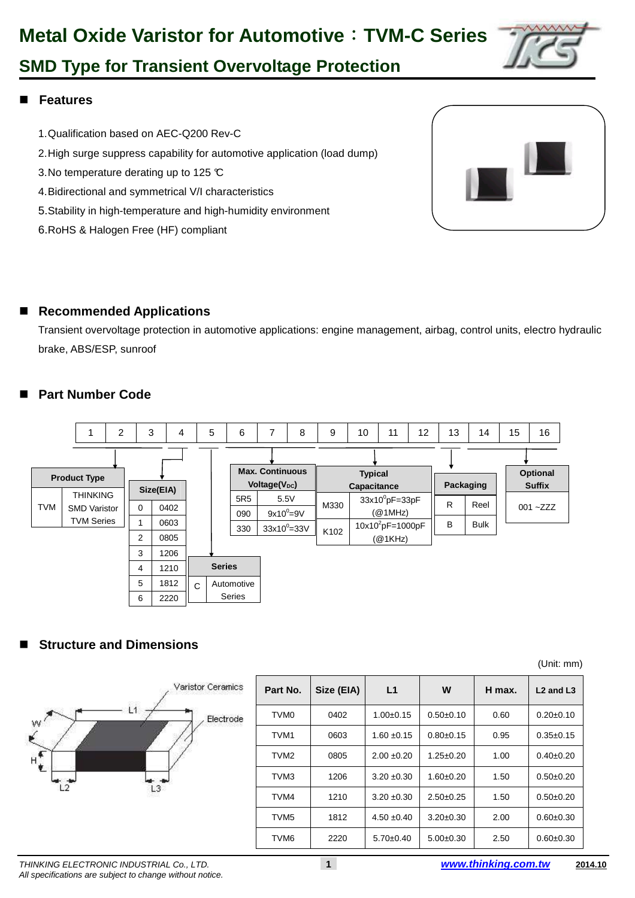# **Metal Oxide Varistor for Automotive**:**TVM-C Series**



## **SMD Type for Transient Overvoltage Protection**

### **Features**

- 1. Qualification based on AEC-Q200 Rev-C
- 2. High surge suppress capability for automotive application (load dump)
- 3. No temperature derating up to 125 °C
- 4. Bidirectional and symmetrical V/I characteristics
- 5. Stability in high-temperature and high-humidity environment
- 6. RoHS & Halogen Free (HF) compliant



### ■ Recommended Applications

Transient overvoltage protection in automotive applications: engine management, airbag, control units, electro hydraulic brake, ABS/ESP, sunroof

### **Part Number Code**



### **Structure and Dimensions**

|                            |                  |            |                 |                 |        | (Unit: mm)    |
|----------------------------|------------------|------------|-----------------|-----------------|--------|---------------|
| Varistor Ceramics          | Part No.         | Size (EIA) | L1              | W               | H max. | $L2$ and $L3$ |
| $\mathsf{L}1$<br>Electrode | TVM <sub>0</sub> | 0402       | $1.00+0.15$     | $0.50+0.10$     | 0.60   | $0.20+0.10$   |
| $\tilde{\epsilon}$         | TVM <sub>1</sub> | 0603       | $1.60 + 0.15$   | $0.80+0.15$     | 0.95   | $0.35 + 0.15$ |
| $H^{\epsilon}_{\epsilon}$  | TVM <sub>2</sub> | 0805       | $2.00 \pm 0.20$ | $1.25 \pm 0.20$ | 1.00   | $0.40+0.20$   |
|                            | TVM <sub>3</sub> | 1206       | $3.20 \pm 0.30$ | $1.60 \pm 0.20$ | 1.50   | $0.50 + 0.20$ |
| L2<br>L3                   | TVM4             | 1210       | $3.20 \pm 0.30$ | $2.50+0.25$     | 1.50   | $0.50 + 0.20$ |
|                            | TVM <sub>5</sub> | 1812       | $4.50 \pm 0.40$ | $3.20 \pm 0.30$ | 2.00   | $0.60 + 0.30$ |
|                            | TVM <sub>6</sub> | 2220       | $5.70 \pm 0.40$ | $5.00+0.30$     | 2.50   | $0.60 + 0.30$ |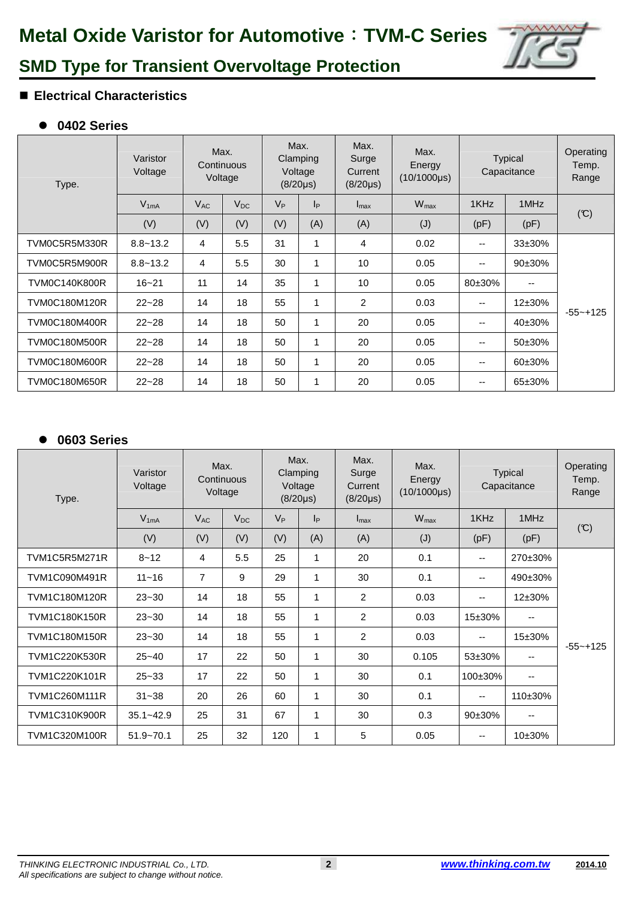

### **Electrical Characteristics**

### - **0402 Series**

| Type.                | Varistor<br>Voltage |          | Max.<br>Continuous<br>Voltage |         | Max.<br>Clamping<br>Voltage<br>$(8/20 \mu s)$ | Max.<br>Surge<br>Current<br>$(8/20 \mu s)$ | Max.<br><b>Typical</b><br>Energy<br>Capacitance<br>$(10/1000\mu s)$ |        |             |              |
|----------------------|---------------------|----------|-------------------------------|---------|-----------------------------------------------|--------------------------------------------|---------------------------------------------------------------------|--------|-------------|--------------|
|                      | $V_{1mA}$           | $V_{AC}$ | $V_{DC}$                      | $V_{P}$ | p                                             | $I_{\text{max}}$                           | $W_{\text{max}}$                                                    | 1KHz   | 1MHz        |              |
|                      | (V)                 | (V)      | (V)                           | (V)     | (A)                                           | (A)                                        | (J)                                                                 | (pF)   | (pF)        | (C)          |
| TVM0C5R5M330R        | $8.8 - 13.2$        | 4        | 5.5                           | 31      |                                               | 4                                          | 0.02                                                                | --     | $33\pm30\%$ |              |
| TVM0C5R5M900R        | $8.8 - 13.2$        | 4        | 5.5                           | 30      | 1                                             | 10                                         | 0.05                                                                | --     | 90±30%      |              |
| <b>TVM0C140K800R</b> | $16 - 21$           | 11       | 14                            | 35      | 1                                             | 10                                         | 0.05                                                                | 80±30% | --          |              |
| <b>TVM0C180M120R</b> | $22 - 28$           | 14       | 18                            | 55      | 1                                             | 2                                          | 0.03                                                                | --     | $12\pm30\%$ | $-55 - +125$ |
| <b>TVM0C180M400R</b> | $22 - 28$           | 14       | 18                            | 50      | 1                                             | 20                                         | 0.05                                                                | --     | $40\pm30\%$ |              |
| <b>TVM0C180M500R</b> | $22 - 28$           | 14       | 18                            | 50      | 1                                             | 20                                         | 0.05                                                                | --     | 50±30%      |              |
| TVM0C180M600R        | $22 - 28$           | 14       | 18                            | 50      | $\mathbf{1}$                                  | 20                                         | 0.05                                                                | --     | $60\pm30\%$ |              |
| <b>TVM0C180M650R</b> | $22 - 28$           | 14       | 18                            | 50      | 1                                             | 20                                         | 0.05                                                                | --     | 65±30%      |              |

#### $\bullet$ **0603 Series**

| Type.                | Varistor<br>Voltage | Continuous<br>Voltage | Max.     | Max.<br>Voltage | Clamping<br>$(8/20 \mu s)$ | Max.<br>Surge<br>Current<br>$(8/20 \mu s)$ | Max.<br><b>Typical</b><br>Energy<br>Capacitance<br>$(10/1000\mu s)$ |                          |             | Operating<br>Temp.<br>Range |
|----------------------|---------------------|-----------------------|----------|-----------------|----------------------------|--------------------------------------------|---------------------------------------------------------------------|--------------------------|-------------|-----------------------------|
|                      | $V_{1mA}$           | $V_{AC}$              | $V_{DC}$ | $V_{P}$         | $ _{\mathsf{P}}$           | $I_{\text{max}}$                           | $W_{\text{max}}$                                                    | 1KHz                     | 1MHz        |                             |
|                      | (V)                 | (V)                   | (V)      | (V)             | (A)                        | (A)                                        | (J)                                                                 | (pF)                     | (pF)        | (C)                         |
| TVM1C5R5M271R        | $8 - 12$            | 4                     | 5.5      | 25              | $\mathbf{1}$               | 20                                         | 0.1                                                                 | $\overline{\phantom{a}}$ | 270±30%     |                             |
| <b>TVM1C090M491R</b> | $11 - 16$           | $\overline{7}$        | 9        | 29              | 1                          | 30                                         | 0.1                                                                 | $\overline{\phantom{a}}$ | 490±30%     |                             |
| <b>TVM1C180M120R</b> | $23 - 30$           | 14                    | 18       | 55              | 1                          | 2                                          | 0.03                                                                | $\overline{\phantom{a}}$ | $12\pm30\%$ |                             |
| <b>TVM1C180K150R</b> | $23 - 30$           | 14                    | 18       | 55              | 1                          | 2                                          | 0.03                                                                | $15 + 30%$               | --          |                             |
| <b>TVM1C180M150R</b> | $23 - 30$           | 14                    | 18       | 55              | 1                          | 2                                          | 0.03                                                                | $\overline{\phantom{a}}$ | 15±30%      | $-55 - +125$                |
| <b>TVM1C220K530R</b> | $25 - 40$           | 17                    | 22       | 50              | 1                          | 30                                         | 0.105                                                               | $53\pm30\%$              | --          |                             |
| TVM1C220K101R        | $25 - 33$           | 17                    | 22       | 50              | 1                          | 30                                         | 0.1                                                                 | 100±30%                  | --          |                             |
| <b>TVM1C260M111R</b> | $31 - 38$           | 20                    | 26       | 60              | $\mathbf{1}$               | 30                                         | 0.1                                                                 | $\overline{\phantom{a}}$ | 110±30%     |                             |
| <b>TVM1C310K900R</b> | $35.1 - 42.9$       | 25                    | 31       | 67              | 1                          | 30                                         | 0.3                                                                 | 90±30%                   | --          |                             |
| TVM1C320M100R        | $51.9 - 70.1$       | 25                    | 32       | 120             | 1                          | 5                                          | 0.05                                                                | $- -$                    | $10\pm30\%$ |                             |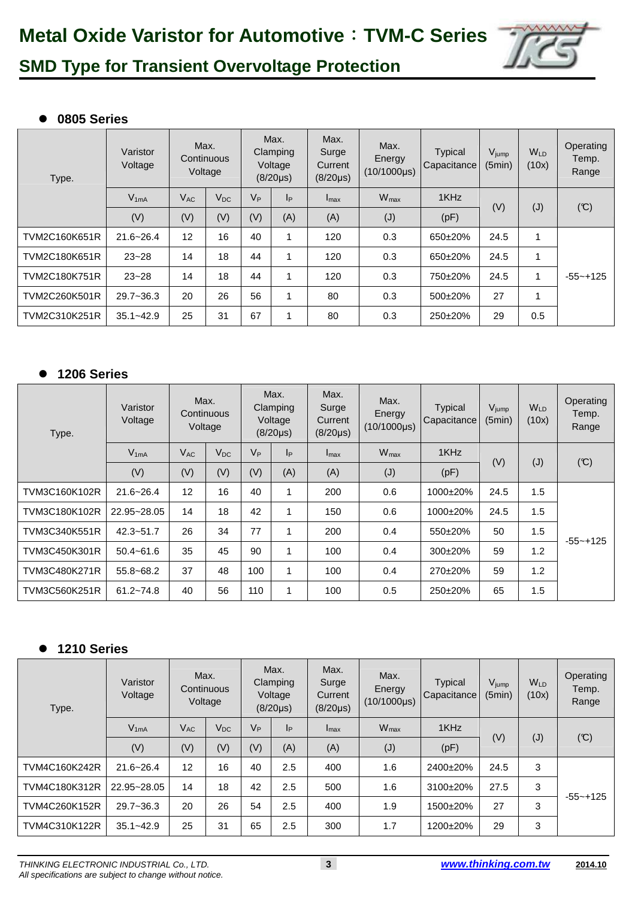

### - **0805 Series**

| Type.                | Max.<br>Varistor<br>Continuous<br>Voltage<br>Voltage |          |          | Max.<br>Clamping<br>Voltage<br>$(8/20 \mu s)$ |     | Max.<br>Surge<br>Current<br>$(8/20 \mu s)$ | Max.<br>Energy<br>$(10/1000\mu s)$ | <b>Typical</b><br>Capacitance | V <sub>jump</sub><br>(5min) | W <sub>LD</sub><br>(10x) | Operating<br>Temp.<br>Range |
|----------------------|------------------------------------------------------|----------|----------|-----------------------------------------------|-----|--------------------------------------------|------------------------------------|-------------------------------|-----------------------------|--------------------------|-----------------------------|
|                      | $V_{1mA}$                                            | $V_{AC}$ | $V_{DC}$ | V <sub>P</sub>                                | Iр  | $I_{\text{max}}$                           | $W_{\text{max}}$                   | 1KHz                          |                             |                          |                             |
|                      | (V)                                                  | (V)      | (V)      | (V)                                           | (A) | (A)                                        | (J)                                | (pF)                          | (V)                         | (J)                      | (C)                         |
| TVM2C160K651R        | $21.6 - 26.4$                                        | 12       | 16       | 40                                            |     | 120                                        | 0.3                                | 650±20%                       | 24.5                        | $\mathbf{1}$             |                             |
| TVM2C180K651R        | $23 - 28$                                            | 14       | 18       | 44                                            |     | 120                                        | 0.3                                | 650±20%                       | 24.5                        | $\mathbf{1}$             |                             |
| <b>TVM2C180K751R</b> | $23 - 28$                                            | 14       | 18       | 44                                            |     | 120                                        | 0.3                                | 750±20%                       | 24.5                        | $\mathbf{1}$             | $-55 - +125$                |
| TVM2C260K501R        | $29.7 - 36.3$                                        | 20       | 26       | 56                                            |     | 80                                         | 0.3                                | 500±20%                       | 27                          |                          |                             |
| TVM2C310K251R        | $35.1 - 42.9$                                        | 25       | 31       | 67                                            |     | 80                                         | 0.3                                | 250±20%                       | 29                          | 0.5                      |                             |

#### $\bullet$ **1206 Series**

| Varistor<br>Voltage<br>Type. |               | Max.<br>Continuous<br>Voltage |          | Max.<br>Clamping<br>Voltage<br>$(8/20 \mu s)$ |     | Max.<br>Surge<br>Current<br>$(8/20\mu s)$ | Max.<br>Energy<br>$(10/1000\mu s)$ | Typical<br>Capacitance | $V_{jump}$<br>(5min) | <b>W<sub>LD</sub></b><br>(10x) | Operating<br>Temp.<br>Range |
|------------------------------|---------------|-------------------------------|----------|-----------------------------------------------|-----|-------------------------------------------|------------------------------------|------------------------|----------------------|--------------------------------|-----------------------------|
|                              | $V_{1mA}$     | $V_{AC}$                      | $V_{DC}$ | $V_{P}$                                       | p   | $I_{\text{max}}$                          | $W_{\text{max}}$                   | 1KHz                   |                      |                                |                             |
|                              | (V)           | (V)                           | (V)      | (V)                                           | (A) | (A)                                       | (J)                                | (pF)                   | (V)                  | (J)                            | (C)                         |
| TVM3C160K102R                | $21.6 - 26.4$ | 12                            | 16       | 40                                            |     | 200                                       | 0.6                                | 1000±20%               | 24.5                 | 1.5                            |                             |
| TVM3C180K102R                | 22.95~28.05   | 14                            | 18       | 42                                            |     | 150                                       | 0.6                                | 1000±20%               | 24.5                 | 1.5                            |                             |
| TVM3C340K551R                | $42.3 - 51.7$ | 26                            | 34       | 77                                            |     | 200                                       | 0.4                                | 550±20%                | 50                   | 1.5                            | $-55 - +125$                |
| TVM3C450K301R                | $50.4 - 61.6$ | 35                            | 45       | 90                                            |     | 100                                       | 0.4                                | 300±20%                | 59                   | 1.2                            |                             |
| TVM3C480K271R                | $55.8 - 68.2$ | 37                            | 48       | 100                                           |     | 100                                       | 0.4                                | 270±20%                | 59                   | 1.2                            |                             |
| TVM3C560K251R                | $61.2 - 74.8$ | 40                            | 56       | 110                                           |     | 100                                       | 0.5                                | 250±20%                | 65                   | 1.5                            |                             |

#### $\bullet$ **1210 Series**

| Type.         | Varistor<br>Voltage | Max.<br>Continuous<br>Voltage |          | Max.<br>Clamping<br>Voltage<br>$(8/20\mu s)$ |     | Max.<br>Surge<br>Current<br>$(8/20 \mu s)$ | Max.<br>Energy<br>$(10/1000\mu s)$ | <b>Typical</b><br>Capacitance | V <sub>jump</sub><br>(5min) | W <sub>LD</sub><br>(10x) | Operating<br>Temp.<br>Range |
|---------------|---------------------|-------------------------------|----------|----------------------------------------------|-----|--------------------------------------------|------------------------------------|-------------------------------|-----------------------------|--------------------------|-----------------------------|
|               | $V_{1mA}$           | $V_{AC}$                      | $V_{DC}$ | $V_{P}$                                      | Iр  | $I_{\text{max}}$                           | $W_{\text{max}}$                   | 1KHz                          | (V)                         |                          | (C)                         |
|               | (V)                 | (V)                           | (V)      | (V)                                          | (A) | (A)                                        | (J)                                | (pF)                          |                             | $(\mathsf{J})$           |                             |
| TVM4C160K242R | $21.6 - 26.4$       | 12                            | 16       | 40                                           | 2.5 | 400                                        | 1.6                                | 2400±20%                      | 24.5                        | 3                        |                             |
| TVM4C180K312R | 22.95~28.05         | 14                            | 18       | 42                                           | 2.5 | 500                                        | 1.6                                | 3100±20%                      | 27.5                        | 3                        | $-55 - +125$                |
| TVM4C260K152R | $29.7 - 36.3$       | 20                            | 26       | 54                                           | 2.5 | 400                                        | 1.9                                | 1500±20%                      | 27                          | 3                        |                             |
| TVM4C310K122R | $35.1 - 42.9$       | 25                            | 31       | 65                                           | 2.5 | 300                                        | 1.7                                | 1200±20%                      | 29                          | 3                        |                             |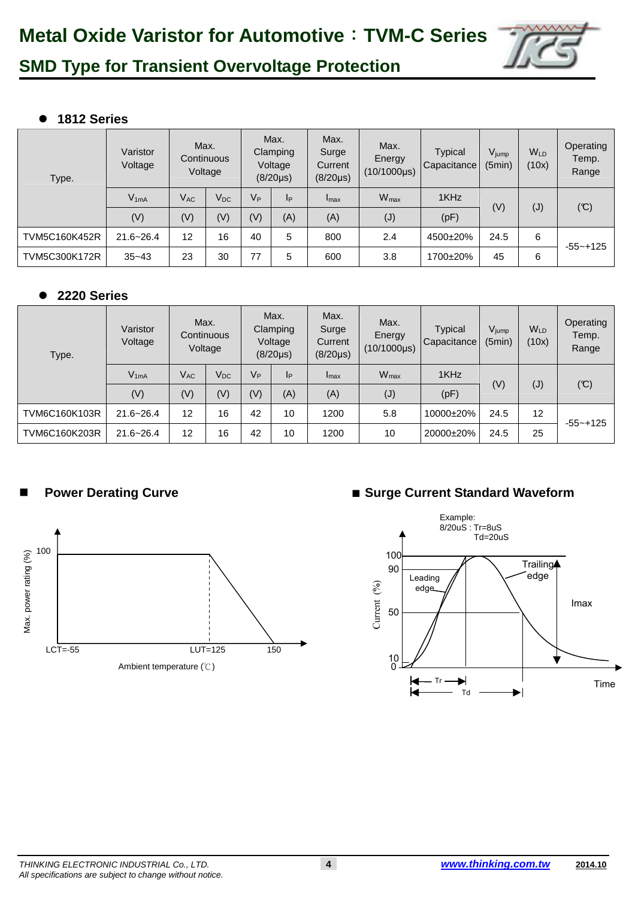

#### $\bullet$ **1812 Series**

| Type.                | Varistor<br>Voltage | Max.<br>Continuous | Voltage  | Max.<br>Clamping<br>Voltage<br>$(8/20\mu s)$ |     | Max.<br>Surge<br>Current<br>$(8/20\mu s)$ | Max.<br>Energy<br>$(10/1000\mu s)$ | <b>Typical</b><br>Capacitance | V <sub>jump</sub><br>(5min) | WLD<br>(10x) | Operating<br>Temp.<br>Range |
|----------------------|---------------------|--------------------|----------|----------------------------------------------|-----|-------------------------------------------|------------------------------------|-------------------------------|-----------------------------|--------------|-----------------------------|
|                      | $V_{1mA}$           | $V_{AC}$           | $V_{DC}$ | $V_{P}$                                      | IP  | $I_{\text{max}}$                          | $W_{\text{max}}$                   | 1KHz                          |                             |              |                             |
|                      | (V)                 | (V)                | (V)      | (V)                                          | (A) | (A)                                       | (J)                                | (pF)                          | (V)                         | (J)          | $(\mathcal{C})$             |
| <b>TVM5C160K452R</b> | $21.6 - 26.4$       | 12                 | 16       | 40                                           | 5   | 800                                       | 2.4                                | 4500±20%                      | 24.5                        | 6            | $-55 - +125$                |
| <b>TVM5C300K172R</b> | $35 - 43$           | 23                 | 30       | 77                                           | 5   | 600                                       | 3.8                                | 1700±20%                      | 45                          | 6            |                             |

#### $\bullet$ **2220 Series**

| Type.         | Varistor<br>Voltage | Max.<br>Continuous<br>Voltage |          | Max.<br>Clamping<br>Voltage<br>$(8/20 \mu s)$ |     | Max.<br>Surge<br>Current<br>$(8/20 \mu s)$ | Max.<br>Energy<br>$(10/1000\mu s)$ | <b>Typical</b><br>Capacitance | $V_{jump}$<br>(5min) | <b>W<sub>LD</sub></b><br>(10x) | Operating<br>Temp.<br>Range |
|---------------|---------------------|-------------------------------|----------|-----------------------------------------------|-----|--------------------------------------------|------------------------------------|-------------------------------|----------------------|--------------------------------|-----------------------------|
|               | $V_{1mA}$           | $V_{AC}$                      | $V_{DC}$ | V <sub>P</sub>                                | Iр  | Imax                                       | $W_{\text{max}}$                   | 1KHz                          |                      |                                |                             |
|               | (V)                 | (V)                           | (V)      | (V)                                           | (A) | (A)                                        | (J)                                | (pF)                          | (V)                  | $(\mathsf{J})$                 | $(\mathfrak{C})$            |
| TVM6C160K103R | $21.6 - 26.4$       | 12                            | 16       | 42                                            | 10  | 1200                                       | 5.8                                | 10000±20%                     | 24.5                 | 12                             | $-55 - +125$                |
| TVM6C160K203R | $21.6 - 26.4$       | 12                            | 16       | 42                                            | 10  | 1200                                       | 10                                 | 20000±20%                     | 24.5                 | 25                             |                             |



### **Power Derating Curve** <br>■ **Surge Current Standard Waveform**

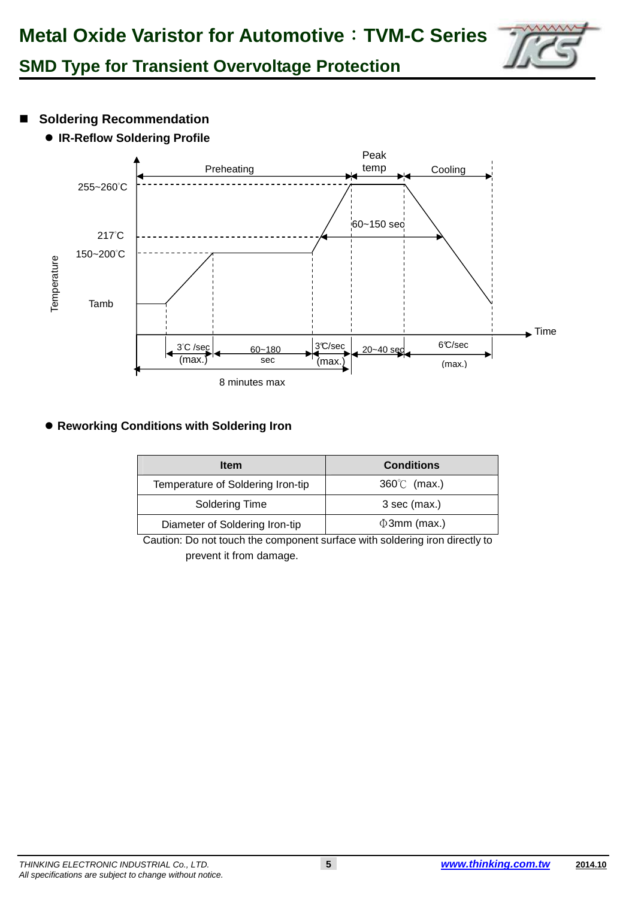

- Soldering Recommendation
	- **IR-Reflow Soldering Profile**



### **• Reworking Conditions with Soldering Iron**

| <b>Item</b>                       | <b>Conditions</b>    |
|-----------------------------------|----------------------|
| Temperature of Soldering Iron-tip | $360^{\circ}$ (max.) |
| Soldering Time                    | $3$ sec (max.)       |
| Diameter of Soldering Iron-tip    | $\Phi$ 3mm (max.)    |

Caution: Do not touch the component surface with soldering iron directly to prevent it from damage.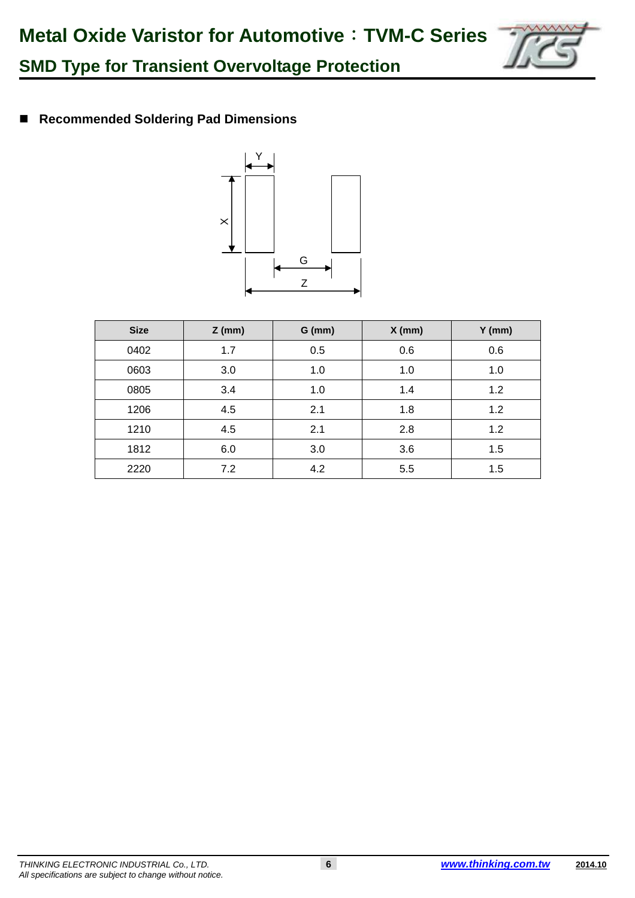

**Recommended Soldering Pad Dimensions** 



| <b>Size</b> | $Z$ (mm) | $G$ (mm) | $X$ (mm) | $Y$ (mm) |
|-------------|----------|----------|----------|----------|
| 0402        | 1.7      | 0.5      | 0.6      | 0.6      |
| 0603        | 3.0      | 1.0      | 1.0      | 1.0      |
| 0805        | 3.4      | 1.0      | 1.4      | 1.2      |
| 1206        | 4.5      | 2.1      | 1.8      | 1.2      |
| 1210        | 4.5      | 2.1      | 2.8      | 1.2      |
| 1812        | 6.0      | 3.0      | 3.6      | 1.5      |
| 2220        | 7.2      | 4.2      | 5.5      | 1.5      |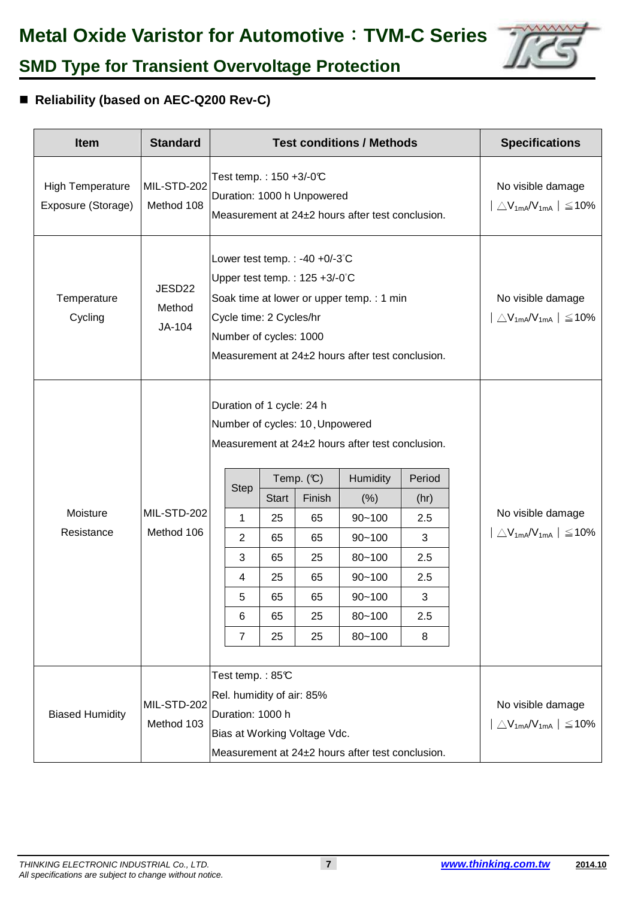

### ■ Reliability (based on AEC-Q200 Rev-C)

| <b>Item</b>                                   | <b>Standard</b>            |                                                                                                                                                                                                                                                                                                                                                                                                                                                                        |  | <b>Test conditions / Methods</b>                                              |                                                  | <b>Specifications</b> |  |                                                                   |
|-----------------------------------------------|----------------------------|------------------------------------------------------------------------------------------------------------------------------------------------------------------------------------------------------------------------------------------------------------------------------------------------------------------------------------------------------------------------------------------------------------------------------------------------------------------------|--|-------------------------------------------------------------------------------|--------------------------------------------------|-----------------------|--|-------------------------------------------------------------------|
| <b>High Temperature</b><br>Exposure (Storage) | MIL-STD-202<br>Method 108  | Test temp.: 150 +3/-0℃                                                                                                                                                                                                                                                                                                                                                                                                                                                 |  | Duration: 1000 h Unpowered                                                    | Measurement at 24±2 hours after test conclusion. |                       |  | No visible damage<br>$\triangle V_{1mA}$ / $V_{1mA}$   $\leq$ 10% |
| Temperature<br>Cycling                        | JESD22<br>Method<br>JA-104 | Lower test temp. : -40 +0/-3 $^{\circ}$ C<br>Upper test temp.: $125 + 3/-0$ °C<br>Soak time at lower or upper temp. : 1 min<br>Cycle time: 2 Cycles/hr<br>Number of cycles: 1000<br>Measurement at 24±2 hours after test conclusion.                                                                                                                                                                                                                                   |  | No visible damage<br>$\vert \triangle V_{1m} A V_{1m} \vert \leq 10\%$        |                                                  |                       |  |                                                                   |
| Moisture<br>Resistance                        | MIL-STD-202<br>Method 106  | Duration of 1 cycle: 24 h<br>Number of cycles: 10, Unpowered<br>Measurement at 24±2 hours after test conclusion.<br>Temp. $(C)$<br>Humidity<br>Period<br><b>Step</b><br><b>Start</b><br>Finish<br>(% )<br>(hr)<br>$\mathbf{1}$<br>25<br>65<br>$90 - 100$<br>2.5<br>$\overline{2}$<br>3<br>$90 - 100$<br>65<br>65<br>3<br>25<br>$80 - 100$<br>2.5<br>65<br>$90 - 100$<br>4<br>25<br>65<br>2.5<br>3<br>5<br>$90 - 100$<br>65<br>65<br>65<br>$80 - 100$<br>6<br>25<br>2.5 |  |                                                                               |                                                  |                       |  | No visible damage<br>$\Delta V_{1mA}$ / $V_{1mA}$ $\leq$ 10%      |
| <b>Biased Humidity</b>                        | MIL-STD-202<br>Method 103  | Test temp.: 85°C<br>Rel. humidity of air: 85%<br>Duration: 1000 h<br>Bias at Working Voltage Vdc.<br>Measurement at 24±2 hours after test conclusion.                                                                                                                                                                                                                                                                                                                  |  | No visible damage<br>$\Delta$ V <sub>1mA</sub> /V <sub>1mA</sub>   $\leq$ 10% |                                                  |                       |  |                                                                   |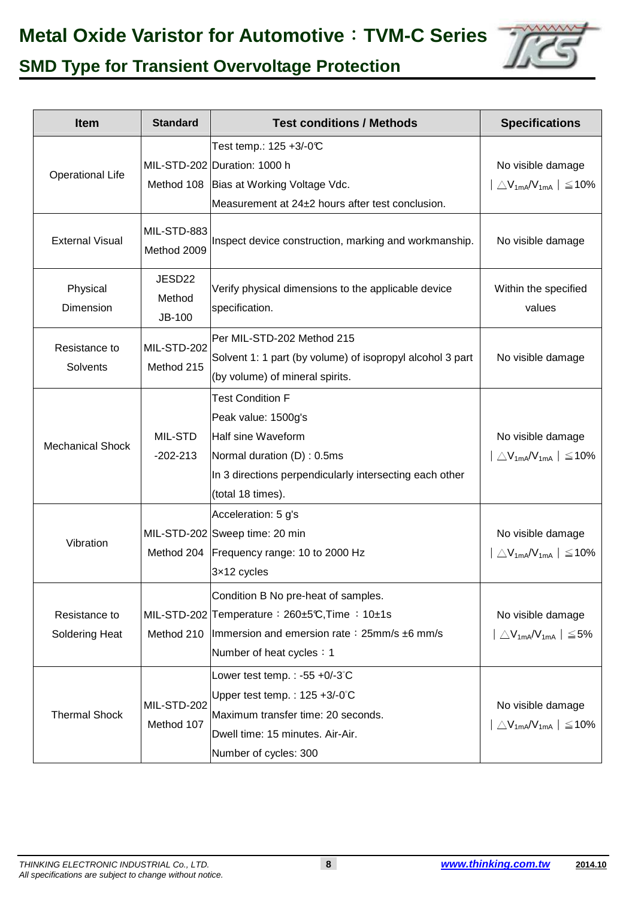## **Metal Oxide Varistor for Automotive**:**TVM-C Series**



## **SMD Type for Transient Overvoltage Protection**

| <b>Item</b>             | <b>Standard</b>                   | <b>Test conditions / Methods</b>                                      | <b>Specifications</b>                                       |
|-------------------------|-----------------------------------|-----------------------------------------------------------------------|-------------------------------------------------------------|
|                         |                                   | Test temp.: 125 +3/-0℃                                                |                                                             |
| <b>Operational Life</b> |                                   | MIL-STD-202 Duration: 1000 h                                          | No visible damage                                           |
|                         |                                   | Method 108 Bias at Working Voltage Vdc.                               | $\triangle V_{1mA}/V_{1mA}$   $\leq$ 10%                    |
|                         |                                   | Measurement at 24±2 hours after test conclusion.                      |                                                             |
| <b>External Visual</b>  | MIL-STD-883<br>Method 2009        | Inspect device construction, marking and workmanship.                 | No visible damage                                           |
| Physical<br>Dimension   | JESD22<br>Method<br><b>JB-100</b> | Verify physical dimensions to the applicable device<br>specification. | Within the specified<br>values                              |
| Resistance to           | MIL-STD-202                       | Per MIL-STD-202 Method 215                                            |                                                             |
|                         | Method 215                        | Solvent 1: 1 part (by volume) of isopropyl alcohol 3 part             | No visible damage                                           |
| Solvents                |                                   | (by volume) of mineral spirits.                                       |                                                             |
|                         |                                   | <b>Test Condition F</b>                                               |                                                             |
|                         |                                   | Peak value: 1500g's                                                   |                                                             |
| <b>Mechanical Shock</b> | MIL-STD                           | Half sine Waveform                                                    | No visible damage                                           |
|                         | $-202 - 213$                      | Normal duration (D): 0.5ms                                            | $\triangle V_{1mA} / V_{1mA}$   $\leq 10\%$                 |
|                         |                                   | In 3 directions perpendicularly intersecting each other               |                                                             |
|                         |                                   | (total 18 times).                                                     |                                                             |
|                         |                                   | Acceleration: 5 g's                                                   |                                                             |
|                         |                                   | MIL-STD-202 Sweep time: 20 min                                        | No visible damage                                           |
| Vibration               |                                   | Method 204   Frequency range: 10 to 2000 Hz                           | $\triangle$ V <sub>1mA</sub> /V <sub>1mA</sub>   $\leq$ 10% |
|                         |                                   | 3x12 cycles                                                           |                                                             |
|                         |                                   | Condition B No pre-heat of samples.                                   |                                                             |
| Resistance to           |                                   | MIL-STD-202 Temperature: $260\pm5$ °C, Time: 10 $\pm$ 1s              | No visible damage                                           |
| Soldering Heat          | Method 210                        | Immersion and emersion rate: 25mm/s ±6 mm/s                           | $\triangle V_{1mA}/V_{1mA}$   $\leq$ 5%                     |
|                         |                                   | Number of heat cycles: 1                                              |                                                             |
|                         |                                   | Lower test temp. : -55 +0/-3 $^{\circ}$ C                             |                                                             |
|                         |                                   | Upper test temp.: $125 + 3/-0$ °C                                     |                                                             |
| <b>Thermal Shock</b>    | MIL-STD-202                       | Maximum transfer time: 20 seconds.                                    | No visible damage                                           |
|                         | Method 107                        | Dwell time: 15 minutes. Air-Air.                                      | $\triangle$ V <sub>1mA</sub> /V <sub>1mA</sub>   $\leq$ 10% |
|                         |                                   | Number of cycles: 300                                                 |                                                             |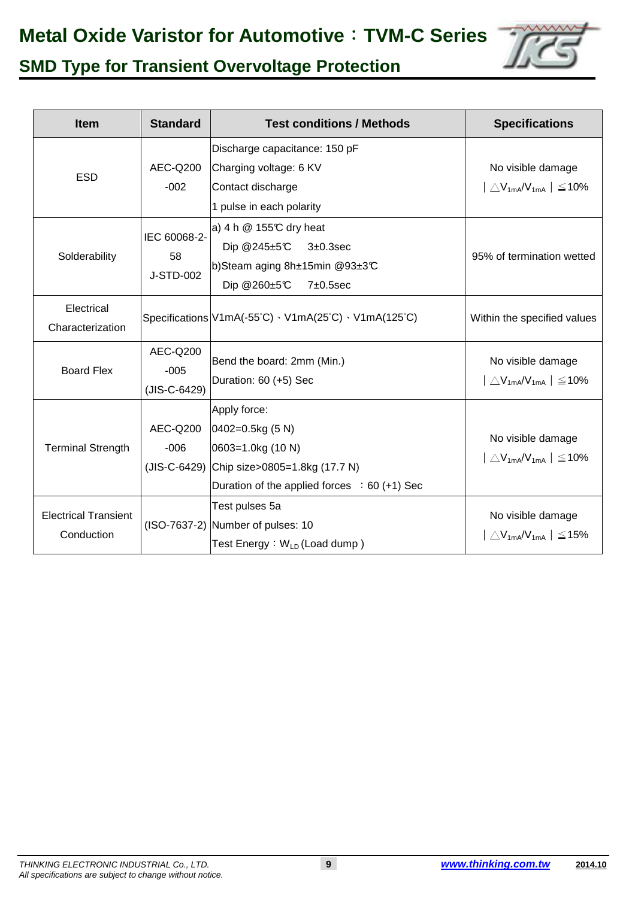## **Metal Oxide Varistor for Automotive**:**TVM-C Series**



## **SMD Type for Transient Overvoltage Protection**

| <b>Item</b>                               | <b>Standard</b>                    | <b>Test conditions / Methods</b>                                                                                                                                  | <b>Specifications</b>                                                            |
|-------------------------------------------|------------------------------------|-------------------------------------------------------------------------------------------------------------------------------------------------------------------|----------------------------------------------------------------------------------|
| <b>ESD</b>                                | AEC-Q200<br>$-002$                 | Discharge capacitance: 150 pF<br>Charging voltage: 6 KV<br>Contact discharge<br>1 pulse in each polarity                                                          | No visible damage<br>$\triangle$ V <sub>1mA</sub> /V <sub>1mA</sub>   $\leq$ 10% |
| Solderability                             | IEC 60068-2-<br>58<br>J-STD-002    | a) 4 h $@$ 155°C dry heat<br>Dip @245 $\pm$ 5 $\degree$ C<br>$3\pm0.3$ sec<br>b)Steam aging 8h±15min @93±3℃<br>Dip @260±5°C<br>7±0.5sec                           | 95% of termination wetted                                                        |
| Electrical<br>Characterization            |                                    | Specifications $V1mA(-55^{\circ}C) \cdot V1mA(25^{\circ}C) \cdot V1mA(125^{\circ}C)$                                                                              | Within the specified values                                                      |
| <b>Board Flex</b>                         | AEC-Q200<br>$-005$<br>(JIS-C-6429) | Bend the board: 2mm (Min.)<br>Duration: 60 (+5) Sec                                                                                                               | No visible damage<br>$\triangle V_{1mA} / V_{1mA}$   $\leq 10\%$                 |
| <b>Terminal Strength</b>                  | AEC-Q200<br>$-006$                 | Apply force:<br>$0402 = 0.5$ kg (5 N)<br>$ 0603=1.0$ kg (10 N)<br>(JIS-C-6429) Chip size>0805=1.8kg (17.7 N)<br>Duration of the applied forces $\div 60 (+1)$ Sec | No visible damage<br>$\triangle$ V <sub>1mA</sub> /V <sub>1mA</sub>   $\leq$ 10% |
| <b>Electrical Transient</b><br>Conduction |                                    | Test pulses 5a<br>(ISO-7637-2) Number of pulses: 10<br>Test Energy: W <sub>LD</sub> (Load dump)                                                                   | No visible damage<br>$\triangle$ V <sub>1mA</sub> /V <sub>1mA</sub>   $\leq$ 15% |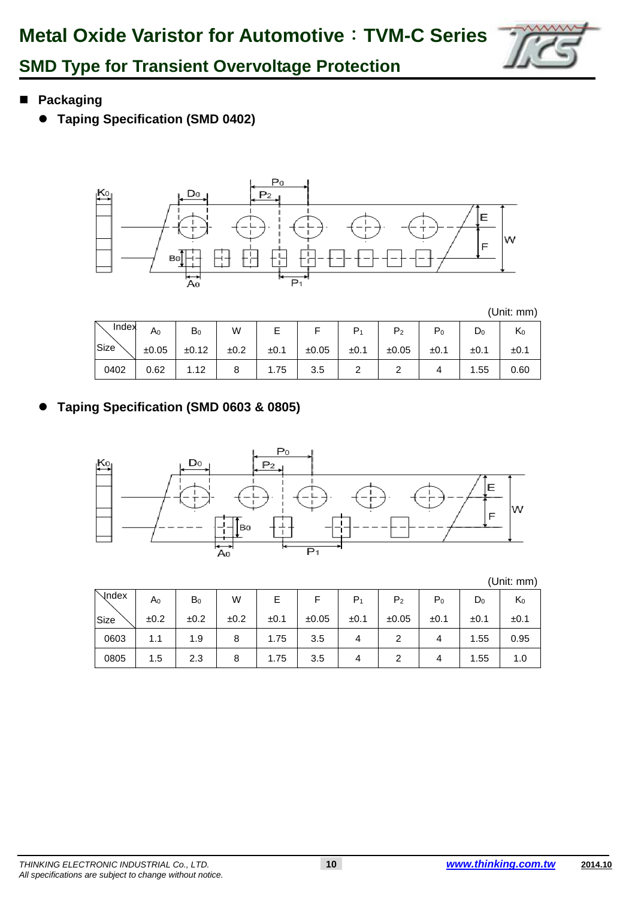

- **Packaging**
	- **Taping Specification (SMD 0402)**



(Unit: mm)

| Index | $\mathsf A_0$ | $B_0$ | W    |      |       |      | $P_{2}$ | ${\sf P}_0$ | $\mathsf{D}_0$ | rx0  |
|-------|---------------|-------|------|------|-------|------|---------|-------------|----------------|------|
| Size  | ±0.05         | ±0.12 | ±0.2 | ±0.1 | ±0.05 | ±0.1 | ±0.05   | ±0.1        | ±0.1           | ±0.1 |
| 0402  | 0.62          | 1.12  |      | 1.75 | 3.5   |      |         |             | 1.55           | 0.60 |

 $\bullet$ **Taping Specification (SMD 0603 & 0805)** 



|       |                |       |      |      |       |       |                |       |       | (Unit: mm) |
|-------|----------------|-------|------|------|-------|-------|----------------|-------|-------|------------|
| Vndex | A <sub>0</sub> | $B_0$ | W    | E    | F     | $P_1$ | P <sub>2</sub> | $P_0$ | $D_0$ | $K_0$      |
| Size  | ±0.2           | ±0.2  | ±0.2 | ±0.1 | ±0.05 | ±0.1  | ±0.05          | ±0.1  | ±0.1  | ±0.1       |
| 0603  | 1.1            | 1.9   | 8    | 1.75 | 3.5   | 4     | $\overline{2}$ | 4     | 1.55  | 0.95       |
| 0805  | 1.5            | 2.3   | 8    | 1.75 | 3.5   | 4     | 2              | 4     | 1.55  | 1.0        |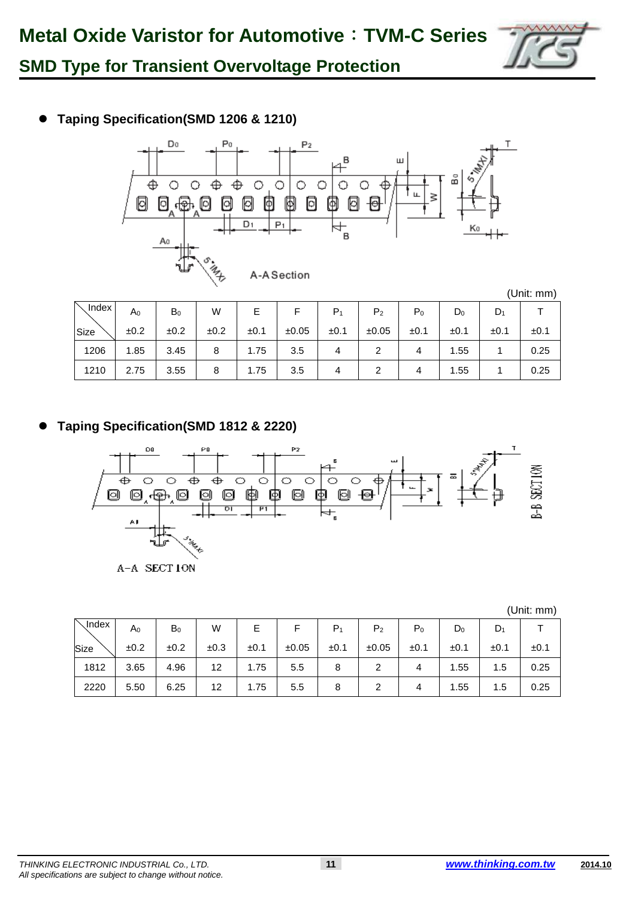

### $\bullet$ **Taping Specification(SMD 1206 & 1210)**



| 、Index I | A <sub>0</sub> | $B_0$ | W    |           |       | P <sub>1</sub> | P <sub>2</sub> | P <sub>0</sub> | $D_0$ | D <sub>1</sub> |      |
|----------|----------------|-------|------|-----------|-------|----------------|----------------|----------------|-------|----------------|------|
| Size     | ±0.2           | ±0.2  | ±0.2 | $\pm 0.1$ | ±0.05 | ±0.1           | ±0.05          | ±0.1           | ±0.1  | ±0.1           | ±0.1 |
| 1206     | 1.85           | 3.45  | 8    | 1.75      | 3.5   |                |                |                | 1.55  |                | 0.25 |
| 1210     | 2.75           | 3.55  | 8    | 1.75      | 3.5   |                |                |                | 1.55  |                | 0.25 |

### $\bullet$ **Taping Specification(SMD 1812 & 2220)**



(Unit: mm)

| $\scriptstyle\diagdown$ Index | A <sub>0</sub> | $B_0$ | W    |      |       | $P_1$ | P <sub>2</sub> | $P_0$ | $D_0$ | $D_1$ |      |
|-------------------------------|----------------|-------|------|------|-------|-------|----------------|-------|-------|-------|------|
| Size                          | ±0.2           | ±0.2  | ±0.3 | ±0.1 | ±0.05 | ±0.1  | ±0.05          | ±0.1  | ±0.1  | ±0.1  | ±0.1 |
| 1812                          | 3.65           | 4.96  | 12   | 1.75 | 5.5   | 8     |                |       | 1.55  | 1.5   | 0.25 |
| 2220                          | 5.50           | 6.25  | 12   | 1.75 | 5.5   | 8     |                |       | 1.55  | 1.5   | 0.25 |